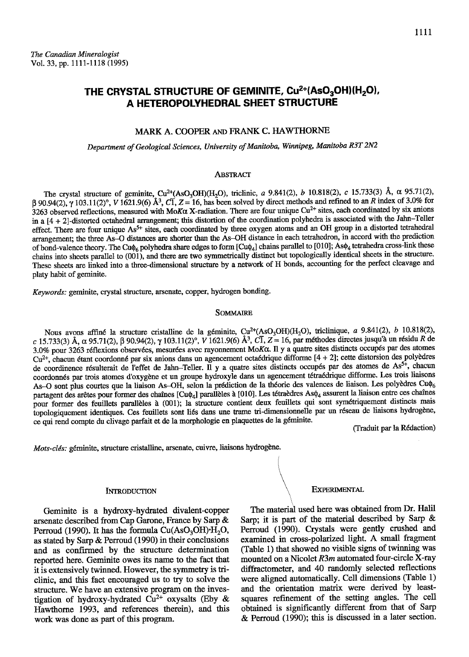# THE CRYSTAL STRUCTURE OF GEMINITE,  $Cu^{2+}(AsO_3OH)(H_2O)$ , A HETEROPOLYHEDRAL SHEET STRUCTURE

# MARK A. COOPER AND FRANK C. HAWTHORNE

Department of Geological Sciences, University of Manitoba, Winnipeg, Manitoba R3T 2N2

# **ABSTRACT**

The crystal structure of geminite,  $Cu^{2+}(AsO_3OH)(H_2O)$ , triclinic, a 9.841(2), b 10.818(2), c 15.733(3) Å,  $\alpha$  95.71(2),  $\beta$  90.94(2),  $\gamma$  103.11(2)°, V 1621.9(6)  $\AA$ <sup>3</sup>, C $\overline{1}$ , Z = 16, has been solved by direct methods and refined to an R index of 3.0% for 3263 observed reflections, measured with MoK $\alpha$  X-radiation. There are four unique Cu<sup>2+</sup> sites, each coordinated by six anions in a  $[4 + 2]$ -distorted octahedral arrangement; this distortion of the coordination polyhedra is associated with the Jahn-Teller effect. There are four unique As<sup>5+</sup> sites, each coordinated by three oxygen atoms and an OH group in a distorted tetrahedral arrangement; the three As-O distances are shorter than the As-OH distance in each tetrahedron, in accord with the prediction of bond-valence theory. The Cu $\phi_6$  polyhedra share edges to form [Cu $\phi_4$ ] chains parallel to [010]; As $\phi_4$  tetrahedra cross-link these chains into sheets parallel to (001), and there are two symmetrically distinct but topologically identical sheets in the structure. These sheets are linked into a thee-dimensional structue by a network of H bonds, accounting for the perfect cleavage and platy habit of geminite.

Keywords: geminite, crystal structure, arsenate, copper, hydrogen bonding.

#### **SOMMAIRE**

Nous avons affiné la structure cristalline de la géminite,  $Cu^{2+}(AsO<sub>3</sub>OH)(H<sub>2</sub>O)$ , triclinique, a 9.841(2), b 10.818(2), c 15.733(3) Å, α 95.71(2), β 90.94(2), γ 103.11(2)°, V 1621.9(6) Å<sup>3</sup>, CI, Z = 16, par méthodes directes jusqu'à un résidu R de 3.0% pour 3263 réflexions observées, mesurées avec rayonnement MoKa. Il y a quatre sites distincts occupés par des atomes  $Cu^{2+}$ , chacun étant coordonné par six anions dans un agencement octaédrique difforme  $[4 + 2]$ ; cette distorsion des polyèdres de coordinence résulterait de l'effet de Jahn-Teller. Il y a quatre sites distincts occupés par des atomes de As<sup>5+</sup>, chacun coordonnés par trois atomes d'oxygène et un groupe hydroxyle dans un agencement tétraédrique difforme. Les trois liaisons As-O sont plus courtes que la liaison As-OH, selon la prédiction de la théorie des valences de liaison. Les polyèdres Cu $\phi_6$ partagent des arêtes pour former des chaînes [Cu $\phi_4$ ] parallèles à [010]. Les tétraèdres As $\phi_4$  assurent la liaison entre ces chaînes pour former des feuillets parallèles à (001); la structure contient deux feuillets qui sont symétriquement distincts mais topologiquement identiques. Ces feuillets sont liés dans une trame tri-dimensionnelle par un réseau de liaisons hydrogène, ce qui rend compte du clivage parfait et de la morphologie en plaquettes de la géminite.

(Traduit par la R6daction)

Mots-clés: géminite, structure cristalline, arsenate, cuivre, liaisons hydrogène.

#### **INTRODUCTION**

Geminite is a hydroxy-hydrated divalenf-copper arsenate described from Cap Gatone, France by Sarp & Perroud (1990). It has the formula  $Cu(AsO<sub>3</sub>OH)<sup>+</sup>H<sub>2</sub>O$ , as stated by Sarp & Perroud (1990) in their conclusions and as confirmed by the structure determination reported here. Geminite owes its name to the fact that it is extensively twinned. However, the symmetry is triclinic, and this fact encouraged us to try to solve the structure. We have an extensive program on the investigation of hydroxy-hydrated  $Cu^{2+}$  oxysalts (Eby & Hawthome L993, and references therein), and this work was done as part of this program.

### **EXPERIMENTAL**

The material used here was obtained from Dr. Halil Sarp; it is part of the malerial described by Sarp & Perroud (1990). Crystals were gently crushed and examined in cross-polarized ligbt. A small fragment (Table 1) that showed no visible signs of twinning was mounted on a Nicolet  $R3m$  automated four-circle X-ray diffractometer, and 40 randomly selected reflections were aligned automatically. Cell dimensions (Table 1) and the orientation matrix were derived by leastsquarcs refinement of the setting angles. The cell obtained is significantly different from that of Sarp & Perroud (1990); this is discussed in a later section.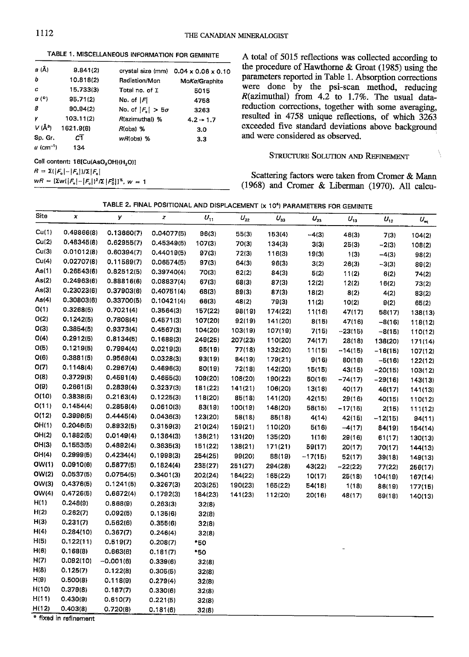TABLE 1. MISCELLANEOUS INFORMATION FOR GEMINITE

| <i>ล</i> (Å)          | 9.841(2)  |                          | crystal size (mm) $0.04 \times 0.06 \times 0.10$ |
|-----------------------|-----------|--------------------------|--------------------------------------------------|
| b                     | 10.818(2) | Radiation/Mon            | MoKa/Graphite                                    |
| C                     | 15.733(3) | Total no. of I           | 5015                                             |
| a (°)                 | 95.71(2)  | No. of $ F $             | 4758                                             |
| ₿                     | 90.94(2)  | No. of $ F_n  > 5\sigma$ | 3263                                             |
| γ                     | 103.11(2) | R(azimuthal) %           | $4.2 \div 1.7$                                   |
| $V(\AA^3)$            | 1621.9(6) | $R$ (obs) %              | 3.0                                              |
| Sp. Gr.               | сī        | $wR(obs)$ %              | 3.3                                              |
| u (cm <sup>-1</sup> ) | 134       |                          |                                                  |

Cell content: 16[Cu(AsO<sub>3</sub>OH)(H<sub>2</sub>O)]

 $R = \Sigma(|F_{o}|-|F_{o}|)/\Sigma|F_{o}|$ 

 $wR = \left[\Sigma w([F_{\circ}]-[F_{\circ}])^2/\Sigma |F_0^2|\right]^{\frac{1}{2}}, w = 1$ 

A total of 5015 reflections was collected according to the procedure of Hawthorne & Groat (1985) using the parameters reported in Table 1. Absorption corrections were done by the psi-scan method, reducing  $R($ azimuthal) from 4.2 to 1.7%. The usual datareduction corrections, together with some averaging, resulted in 4758 unique reflections, of which 3263 exceeded five standard deviations above background and were considered as observed.

# **STRUCTURE SOLUTION AND REFINEMENT**

Ŋ

Scattering factors were taken from Cromer & Mann (1968) and Cromer & Liberman (1970). All calcu-

| TABLE 2. FINAL POSITIONAL AND DISPLACEMENT (x 10 <sup>4</sup> ) PARAMETERS FOR GEMINITF |  |  |  |  |  |  |  |
|-----------------------------------------------------------------------------------------|--|--|--|--|--|--|--|
|-----------------------------------------------------------------------------------------|--|--|--|--|--|--|--|

| Cu(1)<br>0.49866(8)<br>0.13660(7)<br>0.04077(5)<br>96(3)<br>55(3)<br>153(4)<br>$-4(3)$<br>46(3)<br>7(3)<br>104(2)<br>Cu(2)<br>0.48345(8)<br>0.62955(7)<br>0.45349(5)<br>107(3)<br>70(3)<br>134(3)<br>3(3)<br>25(3)<br>$-2(3)$<br>108(2)<br>Cu(3)<br>0.01012(8)<br>0.60394(7)<br>0.44019(5)<br>97(3)<br>72(3)<br>116(3)<br>19(3)<br>1(3)<br>$-4(3)$<br>98(2)<br>Cu(4)<br>0.02707(8)<br>0.11589(7)<br>0.06574(5)<br>97(3)<br>64(3)<br>96(3)<br>3(2)<br>26(3)<br>$-3(3)$<br>89(2)<br>As(1)<br>0.26543(6)<br>0.82512(5)<br>0.39740(4)<br>70(3)<br>62(2)<br>84(3)<br>5(2)<br>11(2)<br>6(2)<br>74(2)<br>As(2)<br>0.24963(6)<br>0.88816(6)<br>0.08837(4)<br>67(3)<br>68(3)<br>87(3)<br>12(2)<br>12(2)<br>16(2)<br>73(2)<br>As(3)<br>0.23023(6)<br>0.37903(6)<br>0.40751(4)<br>68(3)<br>89(3)<br>87(3)<br>18(2)<br>8(2)<br>4(2)<br>83(2)<br>As(4)<br>0.30803(6)<br>0.33700(5)<br>0.10421(4)<br>66(3)<br>48(2)<br>79(3)<br>11(2)<br>10(2)<br>9(2)<br>65(2)<br>O(1)<br>0.3268(5)<br>0.7021(4)<br>0.3564(3)<br>157(22)<br>98(19)<br>174(22)<br>11(16)<br>47(17)<br>58(17)<br>138(13)<br>O(2)<br>0.1242(5)<br>0.7808(4)<br>0.4571(3)<br>107(20)<br>92(19)<br>141(20)<br>8(15)<br>47(16)<br>$-8(16)$<br>118(12)<br>O(3)<br>0.3854(5)<br>0.9373(4)<br>0.4567(3)<br>104(20)<br>103(19)<br>107(19)<br>7(15)<br>$-23(15)$<br>$-8(15)$<br>110(12)<br>O(4)<br>0.2912(5)<br>0.8134(5)<br>0.1688(3)<br>249(25)<br>207(23)<br>110(20)<br>74(17)<br>28(18)<br>138(20)<br>171(14)<br>O(5)<br>0.1219(5)<br>0.7994(4)<br>0.0219(3)<br>95(19)<br>77(18)<br>132(20)<br>11(15)<br>$-14(15)$<br>$-16(15)$<br>107(12)<br>O(6)<br>0.3881(5)<br>0.9569(4)<br>0.0328(3)<br>93(19)<br>84(19)<br>179(21)<br>9(16)<br>80(16)<br>$-5(16)$<br>122(12)<br>O(7)<br>0.1148(4)<br>0.2967(4)<br>0.4696(3)<br>80(19)<br>72(18)<br>142(20)<br>15(15)<br>43(15)<br>$-20(15)$<br>103(12)<br>O(8)<br>0.3729(5)<br>0.4591(4)<br>0.4655(3)<br>109(20)<br>108(20)<br>190(22)<br>50(16)<br>$-74(17)$<br>$-29(16)$<br>143(13)<br>O(9)<br>0.2661(5)<br>0.2839(4)<br>0.3237(3)<br>181(22)<br>141(21)<br>106(20)<br>13(16)<br>40(17)<br>46(17)<br>141(13)<br>O(10)<br>0.3838(5)<br>0.2163(4)<br>0.1225(3)<br>118(20)<br>85(18)<br>141(20)<br>42(15)<br>29(16)<br>40(15)<br>110(12)<br>O(11)<br>0.1454(4)<br>0.2858(4)<br>0.0610(3)<br>83(19)<br>100(19)<br>148(20)<br>58(15)<br>$-17(15)$<br>2(15)<br>111(12)<br>O(12)<br>0.3996(5)<br>0.4445(4)<br>0.0436(3)<br>123(20)<br>58(18)<br>85(18)<br>4(14)<br>42(15)<br>$-12(15)$<br>94(11)<br>OH(1)<br>0.2046(5)<br>0.8932(5)<br>0.3159(3)<br>210(24)<br>159(21)<br>110(20)<br>5(16)<br>$-4(17)$<br>84(19)<br>154(14)<br>OH(2)<br>0.1882(5)<br>0.0149(4)<br>0.1364(3)<br>136(21)<br>131(20)<br>135(20)<br>1(16)<br>29(16)<br>61(17)<br>130(13)<br>OH(3)<br>0.1553(5)<br>0.4892(4)<br>0.3635(3)<br>151(22)<br>138(21)<br>171(21)<br>59(17)<br>20(17)<br>70(17)<br>144(13)<br>OH(4)<br>0.2999(5)<br>0.4234(4)<br>0.1998(3)<br>254(25)<br>99(20)<br>88(19)<br>$-17(15)$<br>52(17)<br>39(18)<br>149(13)<br>OW(1)<br>0.0910(6)<br>0.5877(5)<br>0.1824(4)<br>235(27)<br>251(27)<br>294(28)<br>43(22)<br>$-22(22)$<br>77(22)<br>256(17)<br>OW(2)<br>0.0537(5)<br>0.0754(5)<br>0.3401(3)<br>202(24)<br>164(22)<br>165(22)<br>10(17)<br>25(18)<br>104(19)<br>167(14)<br>OW(3)<br>0.4376(5)<br>0.1241(5)<br>0.3267(3)<br>203(25)<br>190(23)<br>165(22)<br>54(18)<br>1(18)<br>86(19)<br>177(15)<br>OW(4)<br>0.4726(5)<br>0.6672(4)<br>0.1792(3)<br>184(23)<br>141(23)<br>112(20)<br>20(16)<br>48(17)<br>69(18)<br>140(13)<br>H(1)<br>0.248(9)<br>0.868(9)<br>0.263(3)<br>32(8)<br>H(2)<br>0.262(7)<br>0.092(5)<br>0.135(6)<br>32(8)<br>H(3)<br>0.231(7)<br>0.562(6)<br>0.355(6)<br>32(8)<br>H(4)<br>0.284(10)<br>0.367(7)<br>0.246(4)<br>32(8)<br>H(5)<br>0.122(11)<br>0.519(7)<br>0.208(7)<br>*50<br>H(6)<br>0.168(8)<br>0.663(6)<br>0.181(7)<br>*50<br>H(7)<br>0.092(10)<br>$-0.001(6)$<br>0.339(6)<br>32(8)<br>0.125(7)<br>0.122(8)<br>0.305(5)<br>32(8)<br>H(9)<br>0.500(8)<br>0.118(9)<br>0.279(4)<br>32(8)<br>0.379(8)<br>0.187(7)<br>0.330(6)<br>32(8)<br>H(11)<br>0.430(9)<br>0.610(7)<br>0.221(5)<br>32(8)<br>0.403(8)<br>0.720(8)<br>0.181(6)<br>32(8)<br>-41 | Site | × | γ | z | $U_{11}$ | $U_{22}$ | $U_{33}$ | $U_{23}$ | $U_{13}$ | $U_{12}$ | $U_{\rm eq}$ |
|-------------------------------------------------------------------------------------------------------------------------------------------------------------------------------------------------------------------------------------------------------------------------------------------------------------------------------------------------------------------------------------------------------------------------------------------------------------------------------------------------------------------------------------------------------------------------------------------------------------------------------------------------------------------------------------------------------------------------------------------------------------------------------------------------------------------------------------------------------------------------------------------------------------------------------------------------------------------------------------------------------------------------------------------------------------------------------------------------------------------------------------------------------------------------------------------------------------------------------------------------------------------------------------------------------------------------------------------------------------------------------------------------------------------------------------------------------------------------------------------------------------------------------------------------------------------------------------------------------------------------------------------------------------------------------------------------------------------------------------------------------------------------------------------------------------------------------------------------------------------------------------------------------------------------------------------------------------------------------------------------------------------------------------------------------------------------------------------------------------------------------------------------------------------------------------------------------------------------------------------------------------------------------------------------------------------------------------------------------------------------------------------------------------------------------------------------------------------------------------------------------------------------------------------------------------------------------------------------------------------------------------------------------------------------------------------------------------------------------------------------------------------------------------------------------------------------------------------------------------------------------------------------------------------------------------------------------------------------------------------------------------------------------------------------------------------------------------------------------------------------------------------------------------------------------------------------------------------------------------------------------------------------------------------------------------------------------------------------------------------------------------------------------------------------------------------------------------------------------------------------------------------------------------------------------------------------------------------------------------------------------------------------------------------------------------------------------------------------------------------------------------------------------------------------------------------------------------------------------------------------------------------------------------------------------------------------------------------------------------------------------------------------------------------------------------------------------------------------------------------------------------------------|------|---|---|---|----------|----------|----------|----------|----------|----------|--------------|
| H(8)<br>H(10)<br>H(12)<br><b>B</b> disease in a                                                                                                                                                                                                                                                                                                                                                                                                                                                                                                                                                                                                                                                                                                                                                                                                                                                                                                                                                                                                                                                                                                                                                                                                                                                                                                                                                                                                                                                                                                                                                                                                                                                                                                                                                                                                                                                                                                                                                                                                                                                                                                                                                                                                                                                                                                                                                                                                                                                                                                                                                                                                                                                                                                                                                                                                                                                                                                                                                                                                                                                                                                                                                                                                                                                                                                                                                                                                                                                                                                                                                                                                                                                                                                                                                                                                                                                                                                                                                                                                                                                                                                 |      |   |   |   |          |          |          |          |          |          |              |
|                                                                                                                                                                                                                                                                                                                                                                                                                                                                                                                                                                                                                                                                                                                                                                                                                                                                                                                                                                                                                                                                                                                                                                                                                                                                                                                                                                                                                                                                                                                                                                                                                                                                                                                                                                                                                                                                                                                                                                                                                                                                                                                                                                                                                                                                                                                                                                                                                                                                                                                                                                                                                                                                                                                                                                                                                                                                                                                                                                                                                                                                                                                                                                                                                                                                                                                                                                                                                                                                                                                                                                                                                                                                                                                                                                                                                                                                                                                                                                                                                                                                                                                                                 |      |   |   |   |          |          |          |          |          |          |              |
|                                                                                                                                                                                                                                                                                                                                                                                                                                                                                                                                                                                                                                                                                                                                                                                                                                                                                                                                                                                                                                                                                                                                                                                                                                                                                                                                                                                                                                                                                                                                                                                                                                                                                                                                                                                                                                                                                                                                                                                                                                                                                                                                                                                                                                                                                                                                                                                                                                                                                                                                                                                                                                                                                                                                                                                                                                                                                                                                                                                                                                                                                                                                                                                                                                                                                                                                                                                                                                                                                                                                                                                                                                                                                                                                                                                                                                                                                                                                                                                                                                                                                                                                                 |      |   |   |   |          |          |          |          |          |          |              |
|                                                                                                                                                                                                                                                                                                                                                                                                                                                                                                                                                                                                                                                                                                                                                                                                                                                                                                                                                                                                                                                                                                                                                                                                                                                                                                                                                                                                                                                                                                                                                                                                                                                                                                                                                                                                                                                                                                                                                                                                                                                                                                                                                                                                                                                                                                                                                                                                                                                                                                                                                                                                                                                                                                                                                                                                                                                                                                                                                                                                                                                                                                                                                                                                                                                                                                                                                                                                                                                                                                                                                                                                                                                                                                                                                                                                                                                                                                                                                                                                                                                                                                                                                 |      |   |   |   |          |          |          |          |          |          |              |
|                                                                                                                                                                                                                                                                                                                                                                                                                                                                                                                                                                                                                                                                                                                                                                                                                                                                                                                                                                                                                                                                                                                                                                                                                                                                                                                                                                                                                                                                                                                                                                                                                                                                                                                                                                                                                                                                                                                                                                                                                                                                                                                                                                                                                                                                                                                                                                                                                                                                                                                                                                                                                                                                                                                                                                                                                                                                                                                                                                                                                                                                                                                                                                                                                                                                                                                                                                                                                                                                                                                                                                                                                                                                                                                                                                                                                                                                                                                                                                                                                                                                                                                                                 |      |   |   |   |          |          |          |          |          |          |              |
|                                                                                                                                                                                                                                                                                                                                                                                                                                                                                                                                                                                                                                                                                                                                                                                                                                                                                                                                                                                                                                                                                                                                                                                                                                                                                                                                                                                                                                                                                                                                                                                                                                                                                                                                                                                                                                                                                                                                                                                                                                                                                                                                                                                                                                                                                                                                                                                                                                                                                                                                                                                                                                                                                                                                                                                                                                                                                                                                                                                                                                                                                                                                                                                                                                                                                                                                                                                                                                                                                                                                                                                                                                                                                                                                                                                                                                                                                                                                                                                                                                                                                                                                                 |      |   |   |   |          |          |          |          |          |          |              |
|                                                                                                                                                                                                                                                                                                                                                                                                                                                                                                                                                                                                                                                                                                                                                                                                                                                                                                                                                                                                                                                                                                                                                                                                                                                                                                                                                                                                                                                                                                                                                                                                                                                                                                                                                                                                                                                                                                                                                                                                                                                                                                                                                                                                                                                                                                                                                                                                                                                                                                                                                                                                                                                                                                                                                                                                                                                                                                                                                                                                                                                                                                                                                                                                                                                                                                                                                                                                                                                                                                                                                                                                                                                                                                                                                                                                                                                                                                                                                                                                                                                                                                                                                 |      |   |   |   |          |          |          |          |          |          |              |
|                                                                                                                                                                                                                                                                                                                                                                                                                                                                                                                                                                                                                                                                                                                                                                                                                                                                                                                                                                                                                                                                                                                                                                                                                                                                                                                                                                                                                                                                                                                                                                                                                                                                                                                                                                                                                                                                                                                                                                                                                                                                                                                                                                                                                                                                                                                                                                                                                                                                                                                                                                                                                                                                                                                                                                                                                                                                                                                                                                                                                                                                                                                                                                                                                                                                                                                                                                                                                                                                                                                                                                                                                                                                                                                                                                                                                                                                                                                                                                                                                                                                                                                                                 |      |   |   |   |          |          |          |          |          |          |              |
|                                                                                                                                                                                                                                                                                                                                                                                                                                                                                                                                                                                                                                                                                                                                                                                                                                                                                                                                                                                                                                                                                                                                                                                                                                                                                                                                                                                                                                                                                                                                                                                                                                                                                                                                                                                                                                                                                                                                                                                                                                                                                                                                                                                                                                                                                                                                                                                                                                                                                                                                                                                                                                                                                                                                                                                                                                                                                                                                                                                                                                                                                                                                                                                                                                                                                                                                                                                                                                                                                                                                                                                                                                                                                                                                                                                                                                                                                                                                                                                                                                                                                                                                                 |      |   |   |   |          |          |          |          |          |          |              |
|                                                                                                                                                                                                                                                                                                                                                                                                                                                                                                                                                                                                                                                                                                                                                                                                                                                                                                                                                                                                                                                                                                                                                                                                                                                                                                                                                                                                                                                                                                                                                                                                                                                                                                                                                                                                                                                                                                                                                                                                                                                                                                                                                                                                                                                                                                                                                                                                                                                                                                                                                                                                                                                                                                                                                                                                                                                                                                                                                                                                                                                                                                                                                                                                                                                                                                                                                                                                                                                                                                                                                                                                                                                                                                                                                                                                                                                                                                                                                                                                                                                                                                                                                 |      |   |   |   |          |          |          |          |          |          |              |
|                                                                                                                                                                                                                                                                                                                                                                                                                                                                                                                                                                                                                                                                                                                                                                                                                                                                                                                                                                                                                                                                                                                                                                                                                                                                                                                                                                                                                                                                                                                                                                                                                                                                                                                                                                                                                                                                                                                                                                                                                                                                                                                                                                                                                                                                                                                                                                                                                                                                                                                                                                                                                                                                                                                                                                                                                                                                                                                                                                                                                                                                                                                                                                                                                                                                                                                                                                                                                                                                                                                                                                                                                                                                                                                                                                                                                                                                                                                                                                                                                                                                                                                                                 |      |   |   |   |          |          |          |          |          |          |              |
|                                                                                                                                                                                                                                                                                                                                                                                                                                                                                                                                                                                                                                                                                                                                                                                                                                                                                                                                                                                                                                                                                                                                                                                                                                                                                                                                                                                                                                                                                                                                                                                                                                                                                                                                                                                                                                                                                                                                                                                                                                                                                                                                                                                                                                                                                                                                                                                                                                                                                                                                                                                                                                                                                                                                                                                                                                                                                                                                                                                                                                                                                                                                                                                                                                                                                                                                                                                                                                                                                                                                                                                                                                                                                                                                                                                                                                                                                                                                                                                                                                                                                                                                                 |      |   |   |   |          |          |          |          |          |          |              |
|                                                                                                                                                                                                                                                                                                                                                                                                                                                                                                                                                                                                                                                                                                                                                                                                                                                                                                                                                                                                                                                                                                                                                                                                                                                                                                                                                                                                                                                                                                                                                                                                                                                                                                                                                                                                                                                                                                                                                                                                                                                                                                                                                                                                                                                                                                                                                                                                                                                                                                                                                                                                                                                                                                                                                                                                                                                                                                                                                                                                                                                                                                                                                                                                                                                                                                                                                                                                                                                                                                                                                                                                                                                                                                                                                                                                                                                                                                                                                                                                                                                                                                                                                 |      |   |   |   |          |          |          |          |          |          |              |
|                                                                                                                                                                                                                                                                                                                                                                                                                                                                                                                                                                                                                                                                                                                                                                                                                                                                                                                                                                                                                                                                                                                                                                                                                                                                                                                                                                                                                                                                                                                                                                                                                                                                                                                                                                                                                                                                                                                                                                                                                                                                                                                                                                                                                                                                                                                                                                                                                                                                                                                                                                                                                                                                                                                                                                                                                                                                                                                                                                                                                                                                                                                                                                                                                                                                                                                                                                                                                                                                                                                                                                                                                                                                                                                                                                                                                                                                                                                                                                                                                                                                                                                                                 |      |   |   |   |          |          |          |          |          |          |              |
|                                                                                                                                                                                                                                                                                                                                                                                                                                                                                                                                                                                                                                                                                                                                                                                                                                                                                                                                                                                                                                                                                                                                                                                                                                                                                                                                                                                                                                                                                                                                                                                                                                                                                                                                                                                                                                                                                                                                                                                                                                                                                                                                                                                                                                                                                                                                                                                                                                                                                                                                                                                                                                                                                                                                                                                                                                                                                                                                                                                                                                                                                                                                                                                                                                                                                                                                                                                                                                                                                                                                                                                                                                                                                                                                                                                                                                                                                                                                                                                                                                                                                                                                                 |      |   |   |   |          |          |          |          |          |          |              |
|                                                                                                                                                                                                                                                                                                                                                                                                                                                                                                                                                                                                                                                                                                                                                                                                                                                                                                                                                                                                                                                                                                                                                                                                                                                                                                                                                                                                                                                                                                                                                                                                                                                                                                                                                                                                                                                                                                                                                                                                                                                                                                                                                                                                                                                                                                                                                                                                                                                                                                                                                                                                                                                                                                                                                                                                                                                                                                                                                                                                                                                                                                                                                                                                                                                                                                                                                                                                                                                                                                                                                                                                                                                                                                                                                                                                                                                                                                                                                                                                                                                                                                                                                 |      |   |   |   |          |          |          |          |          |          |              |
|                                                                                                                                                                                                                                                                                                                                                                                                                                                                                                                                                                                                                                                                                                                                                                                                                                                                                                                                                                                                                                                                                                                                                                                                                                                                                                                                                                                                                                                                                                                                                                                                                                                                                                                                                                                                                                                                                                                                                                                                                                                                                                                                                                                                                                                                                                                                                                                                                                                                                                                                                                                                                                                                                                                                                                                                                                                                                                                                                                                                                                                                                                                                                                                                                                                                                                                                                                                                                                                                                                                                                                                                                                                                                                                                                                                                                                                                                                                                                                                                                                                                                                                                                 |      |   |   |   |          |          |          |          |          |          |              |
|                                                                                                                                                                                                                                                                                                                                                                                                                                                                                                                                                                                                                                                                                                                                                                                                                                                                                                                                                                                                                                                                                                                                                                                                                                                                                                                                                                                                                                                                                                                                                                                                                                                                                                                                                                                                                                                                                                                                                                                                                                                                                                                                                                                                                                                                                                                                                                                                                                                                                                                                                                                                                                                                                                                                                                                                                                                                                                                                                                                                                                                                                                                                                                                                                                                                                                                                                                                                                                                                                                                                                                                                                                                                                                                                                                                                                                                                                                                                                                                                                                                                                                                                                 |      |   |   |   |          |          |          |          |          |          |              |
|                                                                                                                                                                                                                                                                                                                                                                                                                                                                                                                                                                                                                                                                                                                                                                                                                                                                                                                                                                                                                                                                                                                                                                                                                                                                                                                                                                                                                                                                                                                                                                                                                                                                                                                                                                                                                                                                                                                                                                                                                                                                                                                                                                                                                                                                                                                                                                                                                                                                                                                                                                                                                                                                                                                                                                                                                                                                                                                                                                                                                                                                                                                                                                                                                                                                                                                                                                                                                                                                                                                                                                                                                                                                                                                                                                                                                                                                                                                                                                                                                                                                                                                                                 |      |   |   |   |          |          |          |          |          |          |              |
|                                                                                                                                                                                                                                                                                                                                                                                                                                                                                                                                                                                                                                                                                                                                                                                                                                                                                                                                                                                                                                                                                                                                                                                                                                                                                                                                                                                                                                                                                                                                                                                                                                                                                                                                                                                                                                                                                                                                                                                                                                                                                                                                                                                                                                                                                                                                                                                                                                                                                                                                                                                                                                                                                                                                                                                                                                                                                                                                                                                                                                                                                                                                                                                                                                                                                                                                                                                                                                                                                                                                                                                                                                                                                                                                                                                                                                                                                                                                                                                                                                                                                                                                                 |      |   |   |   |          |          |          |          |          |          |              |
|                                                                                                                                                                                                                                                                                                                                                                                                                                                                                                                                                                                                                                                                                                                                                                                                                                                                                                                                                                                                                                                                                                                                                                                                                                                                                                                                                                                                                                                                                                                                                                                                                                                                                                                                                                                                                                                                                                                                                                                                                                                                                                                                                                                                                                                                                                                                                                                                                                                                                                                                                                                                                                                                                                                                                                                                                                                                                                                                                                                                                                                                                                                                                                                                                                                                                                                                                                                                                                                                                                                                                                                                                                                                                                                                                                                                                                                                                                                                                                                                                                                                                                                                                 |      |   |   |   |          |          |          |          |          |          |              |
|                                                                                                                                                                                                                                                                                                                                                                                                                                                                                                                                                                                                                                                                                                                                                                                                                                                                                                                                                                                                                                                                                                                                                                                                                                                                                                                                                                                                                                                                                                                                                                                                                                                                                                                                                                                                                                                                                                                                                                                                                                                                                                                                                                                                                                                                                                                                                                                                                                                                                                                                                                                                                                                                                                                                                                                                                                                                                                                                                                                                                                                                                                                                                                                                                                                                                                                                                                                                                                                                                                                                                                                                                                                                                                                                                                                                                                                                                                                                                                                                                                                                                                                                                 |      |   |   |   |          |          |          |          |          |          |              |
|                                                                                                                                                                                                                                                                                                                                                                                                                                                                                                                                                                                                                                                                                                                                                                                                                                                                                                                                                                                                                                                                                                                                                                                                                                                                                                                                                                                                                                                                                                                                                                                                                                                                                                                                                                                                                                                                                                                                                                                                                                                                                                                                                                                                                                                                                                                                                                                                                                                                                                                                                                                                                                                                                                                                                                                                                                                                                                                                                                                                                                                                                                                                                                                                                                                                                                                                                                                                                                                                                                                                                                                                                                                                                                                                                                                                                                                                                                                                                                                                                                                                                                                                                 |      |   |   |   |          |          |          |          |          |          |              |
|                                                                                                                                                                                                                                                                                                                                                                                                                                                                                                                                                                                                                                                                                                                                                                                                                                                                                                                                                                                                                                                                                                                                                                                                                                                                                                                                                                                                                                                                                                                                                                                                                                                                                                                                                                                                                                                                                                                                                                                                                                                                                                                                                                                                                                                                                                                                                                                                                                                                                                                                                                                                                                                                                                                                                                                                                                                                                                                                                                                                                                                                                                                                                                                                                                                                                                                                                                                                                                                                                                                                                                                                                                                                                                                                                                                                                                                                                                                                                                                                                                                                                                                                                 |      |   |   |   |          |          |          |          |          |          |              |
|                                                                                                                                                                                                                                                                                                                                                                                                                                                                                                                                                                                                                                                                                                                                                                                                                                                                                                                                                                                                                                                                                                                                                                                                                                                                                                                                                                                                                                                                                                                                                                                                                                                                                                                                                                                                                                                                                                                                                                                                                                                                                                                                                                                                                                                                                                                                                                                                                                                                                                                                                                                                                                                                                                                                                                                                                                                                                                                                                                                                                                                                                                                                                                                                                                                                                                                                                                                                                                                                                                                                                                                                                                                                                                                                                                                                                                                                                                                                                                                                                                                                                                                                                 |      |   |   |   |          |          |          |          |          |          |              |
|                                                                                                                                                                                                                                                                                                                                                                                                                                                                                                                                                                                                                                                                                                                                                                                                                                                                                                                                                                                                                                                                                                                                                                                                                                                                                                                                                                                                                                                                                                                                                                                                                                                                                                                                                                                                                                                                                                                                                                                                                                                                                                                                                                                                                                                                                                                                                                                                                                                                                                                                                                                                                                                                                                                                                                                                                                                                                                                                                                                                                                                                                                                                                                                                                                                                                                                                                                                                                                                                                                                                                                                                                                                                                                                                                                                                                                                                                                                                                                                                                                                                                                                                                 |      |   |   |   |          |          |          |          |          |          |              |
|                                                                                                                                                                                                                                                                                                                                                                                                                                                                                                                                                                                                                                                                                                                                                                                                                                                                                                                                                                                                                                                                                                                                                                                                                                                                                                                                                                                                                                                                                                                                                                                                                                                                                                                                                                                                                                                                                                                                                                                                                                                                                                                                                                                                                                                                                                                                                                                                                                                                                                                                                                                                                                                                                                                                                                                                                                                                                                                                                                                                                                                                                                                                                                                                                                                                                                                                                                                                                                                                                                                                                                                                                                                                                                                                                                                                                                                                                                                                                                                                                                                                                                                                                 |      |   |   |   |          |          |          |          |          |          |              |
|                                                                                                                                                                                                                                                                                                                                                                                                                                                                                                                                                                                                                                                                                                                                                                                                                                                                                                                                                                                                                                                                                                                                                                                                                                                                                                                                                                                                                                                                                                                                                                                                                                                                                                                                                                                                                                                                                                                                                                                                                                                                                                                                                                                                                                                                                                                                                                                                                                                                                                                                                                                                                                                                                                                                                                                                                                                                                                                                                                                                                                                                                                                                                                                                                                                                                                                                                                                                                                                                                                                                                                                                                                                                                                                                                                                                                                                                                                                                                                                                                                                                                                                                                 |      |   |   |   |          |          |          |          |          |          |              |
|                                                                                                                                                                                                                                                                                                                                                                                                                                                                                                                                                                                                                                                                                                                                                                                                                                                                                                                                                                                                                                                                                                                                                                                                                                                                                                                                                                                                                                                                                                                                                                                                                                                                                                                                                                                                                                                                                                                                                                                                                                                                                                                                                                                                                                                                                                                                                                                                                                                                                                                                                                                                                                                                                                                                                                                                                                                                                                                                                                                                                                                                                                                                                                                                                                                                                                                                                                                                                                                                                                                                                                                                                                                                                                                                                                                                                                                                                                                                                                                                                                                                                                                                                 |      |   |   |   |          |          |          |          |          |          |              |
|                                                                                                                                                                                                                                                                                                                                                                                                                                                                                                                                                                                                                                                                                                                                                                                                                                                                                                                                                                                                                                                                                                                                                                                                                                                                                                                                                                                                                                                                                                                                                                                                                                                                                                                                                                                                                                                                                                                                                                                                                                                                                                                                                                                                                                                                                                                                                                                                                                                                                                                                                                                                                                                                                                                                                                                                                                                                                                                                                                                                                                                                                                                                                                                                                                                                                                                                                                                                                                                                                                                                                                                                                                                                                                                                                                                                                                                                                                                                                                                                                                                                                                                                                 |      |   |   |   |          |          |          |          |          |          |              |
|                                                                                                                                                                                                                                                                                                                                                                                                                                                                                                                                                                                                                                                                                                                                                                                                                                                                                                                                                                                                                                                                                                                                                                                                                                                                                                                                                                                                                                                                                                                                                                                                                                                                                                                                                                                                                                                                                                                                                                                                                                                                                                                                                                                                                                                                                                                                                                                                                                                                                                                                                                                                                                                                                                                                                                                                                                                                                                                                                                                                                                                                                                                                                                                                                                                                                                                                                                                                                                                                                                                                                                                                                                                                                                                                                                                                                                                                                                                                                                                                                                                                                                                                                 |      |   |   |   |          |          |          |          |          |          |              |
|                                                                                                                                                                                                                                                                                                                                                                                                                                                                                                                                                                                                                                                                                                                                                                                                                                                                                                                                                                                                                                                                                                                                                                                                                                                                                                                                                                                                                                                                                                                                                                                                                                                                                                                                                                                                                                                                                                                                                                                                                                                                                                                                                                                                                                                                                                                                                                                                                                                                                                                                                                                                                                                                                                                                                                                                                                                                                                                                                                                                                                                                                                                                                                                                                                                                                                                                                                                                                                                                                                                                                                                                                                                                                                                                                                                                                                                                                                                                                                                                                                                                                                                                                 |      |   |   |   |          |          |          |          |          |          |              |
|                                                                                                                                                                                                                                                                                                                                                                                                                                                                                                                                                                                                                                                                                                                                                                                                                                                                                                                                                                                                                                                                                                                                                                                                                                                                                                                                                                                                                                                                                                                                                                                                                                                                                                                                                                                                                                                                                                                                                                                                                                                                                                                                                                                                                                                                                                                                                                                                                                                                                                                                                                                                                                                                                                                                                                                                                                                                                                                                                                                                                                                                                                                                                                                                                                                                                                                                                                                                                                                                                                                                                                                                                                                                                                                                                                                                                                                                                                                                                                                                                                                                                                                                                 |      |   |   |   |          |          |          |          |          |          |              |
|                                                                                                                                                                                                                                                                                                                                                                                                                                                                                                                                                                                                                                                                                                                                                                                                                                                                                                                                                                                                                                                                                                                                                                                                                                                                                                                                                                                                                                                                                                                                                                                                                                                                                                                                                                                                                                                                                                                                                                                                                                                                                                                                                                                                                                                                                                                                                                                                                                                                                                                                                                                                                                                                                                                                                                                                                                                                                                                                                                                                                                                                                                                                                                                                                                                                                                                                                                                                                                                                                                                                                                                                                                                                                                                                                                                                                                                                                                                                                                                                                                                                                                                                                 |      |   |   |   |          |          |          |          |          |          |              |
|                                                                                                                                                                                                                                                                                                                                                                                                                                                                                                                                                                                                                                                                                                                                                                                                                                                                                                                                                                                                                                                                                                                                                                                                                                                                                                                                                                                                                                                                                                                                                                                                                                                                                                                                                                                                                                                                                                                                                                                                                                                                                                                                                                                                                                                                                                                                                                                                                                                                                                                                                                                                                                                                                                                                                                                                                                                                                                                                                                                                                                                                                                                                                                                                                                                                                                                                                                                                                                                                                                                                                                                                                                                                                                                                                                                                                                                                                                                                                                                                                                                                                                                                                 |      |   |   |   |          |          |          |          |          |          |              |
|                                                                                                                                                                                                                                                                                                                                                                                                                                                                                                                                                                                                                                                                                                                                                                                                                                                                                                                                                                                                                                                                                                                                                                                                                                                                                                                                                                                                                                                                                                                                                                                                                                                                                                                                                                                                                                                                                                                                                                                                                                                                                                                                                                                                                                                                                                                                                                                                                                                                                                                                                                                                                                                                                                                                                                                                                                                                                                                                                                                                                                                                                                                                                                                                                                                                                                                                                                                                                                                                                                                                                                                                                                                                                                                                                                                                                                                                                                                                                                                                                                                                                                                                                 |      |   |   |   |          |          |          |          |          |          |              |
|                                                                                                                                                                                                                                                                                                                                                                                                                                                                                                                                                                                                                                                                                                                                                                                                                                                                                                                                                                                                                                                                                                                                                                                                                                                                                                                                                                                                                                                                                                                                                                                                                                                                                                                                                                                                                                                                                                                                                                                                                                                                                                                                                                                                                                                                                                                                                                                                                                                                                                                                                                                                                                                                                                                                                                                                                                                                                                                                                                                                                                                                                                                                                                                                                                                                                                                                                                                                                                                                                                                                                                                                                                                                                                                                                                                                                                                                                                                                                                                                                                                                                                                                                 |      |   |   |   |          |          |          |          |          |          |              |
|                                                                                                                                                                                                                                                                                                                                                                                                                                                                                                                                                                                                                                                                                                                                                                                                                                                                                                                                                                                                                                                                                                                                                                                                                                                                                                                                                                                                                                                                                                                                                                                                                                                                                                                                                                                                                                                                                                                                                                                                                                                                                                                                                                                                                                                                                                                                                                                                                                                                                                                                                                                                                                                                                                                                                                                                                                                                                                                                                                                                                                                                                                                                                                                                                                                                                                                                                                                                                                                                                                                                                                                                                                                                                                                                                                                                                                                                                                                                                                                                                                                                                                                                                 |      |   |   |   |          |          |          |          |          |          |              |
|                                                                                                                                                                                                                                                                                                                                                                                                                                                                                                                                                                                                                                                                                                                                                                                                                                                                                                                                                                                                                                                                                                                                                                                                                                                                                                                                                                                                                                                                                                                                                                                                                                                                                                                                                                                                                                                                                                                                                                                                                                                                                                                                                                                                                                                                                                                                                                                                                                                                                                                                                                                                                                                                                                                                                                                                                                                                                                                                                                                                                                                                                                                                                                                                                                                                                                                                                                                                                                                                                                                                                                                                                                                                                                                                                                                                                                                                                                                                                                                                                                                                                                                                                 |      |   |   |   |          |          |          |          |          |          |              |
|                                                                                                                                                                                                                                                                                                                                                                                                                                                                                                                                                                                                                                                                                                                                                                                                                                                                                                                                                                                                                                                                                                                                                                                                                                                                                                                                                                                                                                                                                                                                                                                                                                                                                                                                                                                                                                                                                                                                                                                                                                                                                                                                                                                                                                                                                                                                                                                                                                                                                                                                                                                                                                                                                                                                                                                                                                                                                                                                                                                                                                                                                                                                                                                                                                                                                                                                                                                                                                                                                                                                                                                                                                                                                                                                                                                                                                                                                                                                                                                                                                                                                                                                                 |      |   |   |   |          |          |          |          |          |          |              |

fixed in refinement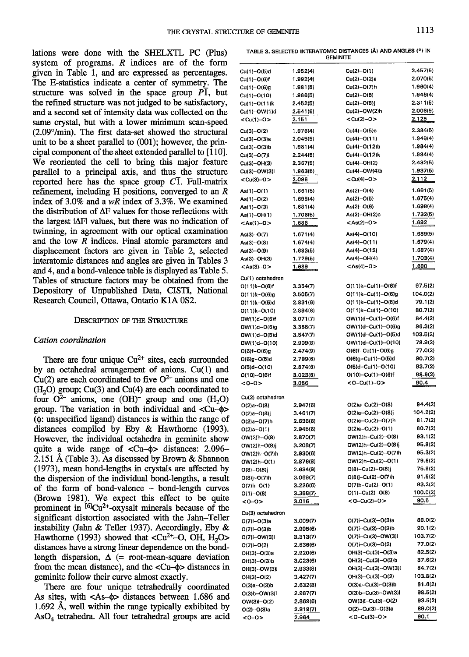lations were done with the SIIELXTL PC (Plus) system of programs.  $R$  indices are of the form given in Table 1, and are expressed as percentages. The E-statistics indicate a center of symmetry- The structure was solved in the space group  $\overrightarrow{PI}$ , but the refined structure was not judged to be satisfactory, and a second set of intensity data was collected on the same crystal, but with a lower minimum scan-speed  $(2.09^{\circ}/\text{min})$ . The first data-set showed the structural unit to be a sheet parallel to (001); however, the principal component of the sheet extended parallel to  $[110]$ . We reoriented the cell to bring this major feature parallel to a principal axis, and thus the structure reported here has the space group  $C\overline{1}$ . Full-matrix refinement, including H positions, converged to an  $R$ index of 3.0% and a  $wR$  index of 3.3%. We examined the distribution of AF values for those reflections with the largest lAFl values, but there was no indication of twinning, in agreement with our optical examination and the low  $\overline{R}$  indices. Final atomic parameters and displacement factors are given in Table 2, selected interatomic distances and angles are given in Tables 3 and 4, and a bond-valence table is displayed as Table 5. Tables of structure factors may be obtained from the Depository of Unpublished Data, CISTI, National Research Council, Ottawa, Ontario K1A 0S2.

## DESCRIPTION OF THE STRUCTURE

### Cation coordination

There are four unique  $Cu^{2+}$  sites, each surrounded by an octahedral arrangement of anions. Cu(1) and  $Cu(2)$  are each coordinated to five  $O<sup>2-</sup>$  anions and one  $(H<sub>2</sub>O)$  group; Cu(3) and Cu(4) are each coordinated to four  $O^{2-}$  anions, one  $(OH)^-$  group and one  $(H_2O)$ group. The variation in both individual and  $\langle Cu-\phi\rangle$  $(\phi)$ : unspecified ligand) distances is within the range of distances compiled by Eby & Hawthorne (1993). However, the indiyidual octahedra in geminite show quite a wide range of  $\langle Cu-\phi \rangle$  distances: 2.096-2.151 Å (Table 3). As discussed by Brown  $\&$  Shannon (L973), mean bond-lengths in crystals are affected by the dispersion of the individual bond-lengths, a result of the forrn of bond-valence - bond-length curves (Brown 1981). We expect this effect to be quite prominent in  $[6]$ Cu<sup>2+</sup>-oxysalt minerals because of the significant distortion associated with the Jahn-Teller instability (Jahn & Teller 1937). Accordingly, Eby & Hawthorne (1993) showed that  $\langle Cu^{2+} - O, OH, H_2O \rangle$ distances have a strong linear dependence on the bondlength dispersion,  $\Delta$  (= root-mean-square deviation from the mean distance), and the  $\langle Cu-\phi \rangle$  distances in geminite follow their curve almost exactly.

There are four unique tetrahedrally coordinated As sites, with <As- $\phi$ > distances between 1.686 and L.692 A, well within the range typically exhibited by  $AsO<sub>4</sub> tetrahedra. All four tetrahedral groups are acid$ 

| TABLE 3. SELECTED INTERATOMIC DISTANCES (Å) AND ANGLES (°) IN |  |  |  |  |  |  |  |  |
|---------------------------------------------------------------|--|--|--|--|--|--|--|--|
| <b>GEMINITE</b>                                               |  |  |  |  |  |  |  |  |

| Cu(1)-O(5)d                        | 1.952(4)             | $Cu(2)-O(1)$                             | 2.457(5)            |
|------------------------------------|----------------------|------------------------------------------|---------------------|
| Cu(1)-O(6)f                        | 1.992(4)             | Cu(2)-O(2)a                              | 2.070(5)            |
| Cu(1)-O(6)g                        | 1.981(5)             | Cu(2)-O(7)h                              | 1.960(4)            |
| Cu(1)-O(10)                        | 1.986(5)             | $Cu(2)-O(8)$                             | 1.946(4)            |
| Cu(1)-O(11)k                       | 2.452(5)             | Cu(2)-O(8)j                              | 2.311(5)            |
| Cu(1)-OW(1)d                       | 2.541(6)             | Cu(2)-OW(2)h                             | 2.006(5)            |
| <cu(1)-o></cu(1)-o>                | 2.151                | <cu(2)-o></cu(2)-o>                      | 2.125               |
| Cu(3)-O(2)                         | 1.976(4)             | Cu(4)-O(5)e                              | 2,384(5)            |
| Cu(3)-O(3)a                        | 2.045(5)             | Cu(4)-O(11)                              | 1.949(4)            |
| Cu(3)-O(3)b                        | 1.981(4)             | Cu(4)-O(12)b                             | 1.984(4)            |
| Cu(3)-O(7)i                        | 2.244(5)             | Cu(4)-O(12)k                             | 1.984(4)            |
| Cu(3)-OH(3)                        | 2.367(5)             | Cu(4)-OH(2)                              | 2.432(5)            |
| Cu(3)-OW(3)I                       | 1.963(5)             | Cu(4)-OW(4)b                             | 1.937(5)            |
| $<$ Cu(3)-O $>$                    | <u>2.096 </u>        | <cu(4)-0></cu(4)-0>                      | 2.112               |
| As(1)-O(1)                         | 1.661(5)             | $As(2)-O(4)$                             | 1.661(5)            |
| As(1)-O(2)                         | 1.695(4)             | $As(2)-O(5)$                             | 1,675(4)            |
| As(1)-O(3)                         | 1.681(4)             | $As(2)-O(6)$                             | 1.698(4)            |
| As(1)-OH(1)                        | 1.706(5)             | As(2)-OH(2)c                             | 1.732(5)            |
| $<$ As(1)-O>                       | <u>1.686</u>         | <as(2)-0></as(2)-0>                      | <u>1.692</u>        |
| As(3)-O(7)                         | 1.671(4)             | As(4)-O(10)                              | 1.689(5)            |
| As(3)-O(8)                         | 1.674(4)             | As(4)-O(11)                              | 1.679(4)            |
| As(3)-O(9)                         | 1.683(5)             | As(4)-O(12)                              | 1.687(4)            |
| As(3)-OH(3)                        | 1.729(5)             | As(4)-OH(4)                              | 1.703(4)            |
| <as(3)-o></as(3)-o>                | <u> 1.689 </u>       | $<$ As(4)-O>                             | 1.690               |
| Cu(1) octahedron                   |                      |                                          |                     |
| O(11)k-O(6)f                       | 3.354(7)             | $O(11)k - Cu(1) - O(6) f$                | 97.5(2)             |
| O(11)k-O(6)g                       | 3.505(7)             | $O(11)k - Cu(1) - O(6)g$                 | 104.0(2)            |
| 0(11)k--0(5)d                      | 2,831(6)             | O(11)k-Cu(1)-O(5)d                       | 79.1(2)             |
| O(11)k-O(10)                       | 2.894(6)             | O(11)k-Cu(1)-O(10)                       | 80.7(2)             |
| OW(1)d-O(6)f                       | 3.071(7)             | OW(1)d-Cu(1)-O(6)f                       | 84.4(2)             |
| OW(1)d-O(6)g                       | 3.388(7)             | OW(1)d-Cu(1)-O(6)g<br>OW(1)d-Cu(1)-O(5)d | 96.3(2)<br>103.5(2) |
| OW(1)d-O(5)d                       | 3.547(7)<br>2.909(8) | OW(1)d-Cu(1)-O(10)                       | 78.9(2)             |
| OW(1)d-O(10)<br>0(6)f-0(6)g        | 2.474(9)             | O(6)f-Cu(1)-O(6)g                        | 77.0(2)             |
| O(6)g-O(5)d                        | 2.799(6)             | O(6)g–Cu(1)–O(5)d                        | 90.7(2)             |
| O(5)d-O(10)                        | 2.874(6)             | O(5)d-Cu(1)-O(10)                        | 93.7(2)             |
| O(10)-O(6)f                        | 3.023(6)             | O(10)-Cu(1)-O(6)f                        | 98.9(2)             |
| <0-0>                              | <u>3.056</u>         | <0-Cu(1)-0>                              | <u>90.4</u>         |
|                                    |                      |                                          |                     |
| Cu(2) octahedron<br>$O(2)a - O(8)$ | 2.947(6)             | $O(2)a-Cu(2)-O(8)$                       | 94.4(2)             |
| O(2)a-O(8)j                        | 3.461(7)             | $O(2)a-Cu(2)-O(8)j$                      | 104.2(2)            |
| $O(2)a - O(7)h$                    | 2.636(6)             | $O(2)a-Cu(2)-O(7)h$                      | 81.7(2)             |
| O(2)a-O(1)                         | 2.945(6)             | O(2)a-Cu(2)-O(1)                         | 80.7(2)             |
| $OW(2)h - O(8)$                    | 2.870(7)             | OW(2)h--Cu(2)-O(8)                       | 93.1(2)             |
| OW(2)h-O(8)j                       | 3.208(7)             | OW(2)h--Cu(2)--O(8)]                     | 95.8(2)             |
| OW(2)h-O(7)h                       | 2.930(6)             | OW(2)h-Cu(2)-O(7)h                       | 95.3(2)             |
| OW(2)h-O(1)                        | 2.876(8)             | OW(2)h-Cu(2)-O(1)                        | 79.6(2)             |
| $O(8)-O(8)$                        | 2.634(9)             | $O(8)-Cu(2)-O(8)$ j                      | 75.9(2)             |
| O(8)j~O(7)h                        | 3.069(7)             | O(8)j-Cu(2)-O(7)h                        | 91.5(2)             |
| $O(7)h - O(1)$                     | 3.226(6)             | O(7)h-Cu(2)-O(1)                         | 93.2(2)             |
| $O(1)-O(8)$                        | 3.388(7)             | O(1)-Cu(2)-O(8)                          | 100.0(2)            |
| <0–0>                              | <u>3.016</u>         | <0-Cu(2)-0>                              | <u>90.5</u>         |
| Cu(3) octahedron                   |                      |                                          |                     |
| $O(7)$ i- $O(3)$ a                 | 3.009(7)             | $O(7)$ i-Cu(3)-O(3)a                     | 89.0(2)             |
| O(7)i-O(3)b                        | 2.995(6)             | $O(7)$ i-Cu(3)-O(3)b                     | 90.1(2)             |
| 0(7)i-0W(3)l                       | 3.313(7)             | O(7)i-Cu(3)-OW(3)I                       | 103.7(2)<br>77.0(2) |
| $O(7)$ i- $O(2)$                   | 2.636(6)<br>2.920(6) | $O(7)$ i-Cu(3)-O(2)                      | 82.5(2)             |
| OH(3)-O(3)a                        | 3.023(6)             | OH(3)--Cu(3)--O(3)a<br>OH(3)-Cu(3)-O(3)b | 87.6(2)             |
| OH(3)-O(3)b<br>OH(3)-OW(3)I        | 2.933(8)             | OH(3)-Cu(3)-OW(3)I                       | 84.7(2)             |
| OH(3)-O(2)                         | 3.427(7)             | OH(3)-Cu(3)-O(2)                         | 103.8(2)            |
| $O(3)a - O(3)b$                    | 2.632(8)             | $O(3)a - Cu(3) - O(3)b$                  | 81.6(2)             |
| 0(3)b-0W(3)l                       | 2.987(7)             | 0(3)b-Cu(3)-OW(3)l                       | 98.5(2)             |
| $OW(3)I - O(2)$                    | 2.869(6)             | OW(3)I-Cu(3)-O(2)                        | 93.5(2)             |
| $O(2)-O(3)a$                       | 2.819(7)             | O(2)--Cu(3)--O(3)a                       | 89.0(2)             |
| <0-0>                              | 2.964                | <0-Cu(3)-0>                              | 90.1                |
|                                    |                      |                                          |                     |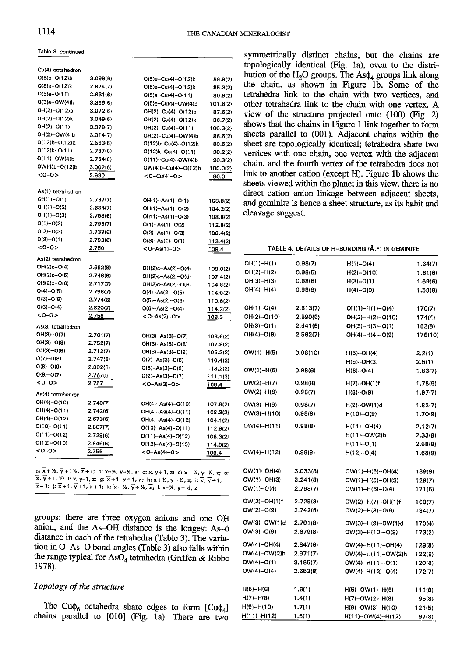Table 3, continued

| 3.099(6)      | O(5)e-Cu(4)--O(12)b       | 89.9(2                                                                                                                                                                                                                                                                                                                                                                                                                          |
|---------------|---------------------------|---------------------------------------------------------------------------------------------------------------------------------------------------------------------------------------------------------------------------------------------------------------------------------------------------------------------------------------------------------------------------------------------------------------------------------|
| 2.974(7)      | $O(5)e-Cu(4)-O(12)k$      | 85.3(2                                                                                                                                                                                                                                                                                                                                                                                                                          |
| 2.831(6)      | $O(5)e-Cu(4)-O(11)$       | 80.9(2                                                                                                                                                                                                                                                                                                                                                                                                                          |
| 3.359(6)      | $O(5)$ e-Cu(4)-OW(4)b     | 101.6(2                                                                                                                                                                                                                                                                                                                                                                                                                         |
| 3.072(6)      | OH(2)-Cu(4)-O(12)b        | 87.6(2                                                                                                                                                                                                                                                                                                                                                                                                                          |
| 3.049(6)      | OH(2)-Cu(4)-O(12)k        | 86.7(2                                                                                                                                                                                                                                                                                                                                                                                                                          |
| 3.378(7)      | OH(2)-Cu(4)-O(11)         | 100.3(2)                                                                                                                                                                                                                                                                                                                                                                                                                        |
| 3.014(7)      | OH(2)-Cu(4)-OW(4)b        | 86.5(2                                                                                                                                                                                                                                                                                                                                                                                                                          |
| 2.563(8)      | $O(12)b - Cu(4) - O(12)k$ | 80.5(2                                                                                                                                                                                                                                                                                                                                                                                                                          |
| 2.787(6)      | $O(12)k-Cu(4)-O(11)$      | 90.2(2)                                                                                                                                                                                                                                                                                                                                                                                                                         |
| 2.754(6)      | O(11)--Cu(4)--OW(4)b      | 90.3(2)                                                                                                                                                                                                                                                                                                                                                                                                                         |
| 3.002(6)      | OW(4)b-Cu(4)-O(12)b       | 100.0(2)                                                                                                                                                                                                                                                                                                                                                                                                                        |
| 2.990         | <0-Cu(4)-0>               | 90.0                                                                                                                                                                                                                                                                                                                                                                                                                            |
|               |                           |                                                                                                                                                                                                                                                                                                                                                                                                                                 |
| 2.737(7)      |                           | 108.8(2)                                                                                                                                                                                                                                                                                                                                                                                                                        |
| 2.684(7)      |                           | 104.2(2)                                                                                                                                                                                                                                                                                                                                                                                                                        |
| 2.753(6)      |                           | 108.8(2)                                                                                                                                                                                                                                                                                                                                                                                                                        |
| 2.795(7)      |                           | 112.8(2)                                                                                                                                                                                                                                                                                                                                                                                                                        |
| 2.739(6)      |                           | 108.4(2)                                                                                                                                                                                                                                                                                                                                                                                                                        |
|               |                           | 113.4(2)                                                                                                                                                                                                                                                                                                                                                                                                                        |
| 2.750         | <0-As(1)-0>               | 109.4                                                                                                                                                                                                                                                                                                                                                                                                                           |
|               |                           |                                                                                                                                                                                                                                                                                                                                                                                                                                 |
| 2.692(8)      |                           | 105.0(2)                                                                                                                                                                                                                                                                                                                                                                                                                        |
| 2.746(6)      |                           | 107.4(2)                                                                                                                                                                                                                                                                                                                                                                                                                        |
| 2.717(7)      |                           | 104.8(2)                                                                                                                                                                                                                                                                                                                                                                                                                        |
| 2.798(7)      |                           | 114.0(2)                                                                                                                                                                                                                                                                                                                                                                                                                        |
| 2.774(6)      |                           | 110.6(2)                                                                                                                                                                                                                                                                                                                                                                                                                        |
| 2.820(7)      |                           | 114.2(2)                                                                                                                                                                                                                                                                                                                                                                                                                        |
| 2.758         | $<$ 0 - As(2) - 0 >       | <u> 109.3</u>                                                                                                                                                                                                                                                                                                                                                                                                                   |
|               |                           |                                                                                                                                                                                                                                                                                                                                                                                                                                 |
| 2.761(7)      |                           | 108.6(2)                                                                                                                                                                                                                                                                                                                                                                                                                        |
| 2.752(7)      |                           | 107.9(2)                                                                                                                                                                                                                                                                                                                                                                                                                        |
| 2.712(7)      |                           | 105.3(2)                                                                                                                                                                                                                                                                                                                                                                                                                        |
| 2.747(6)      | $O(7)-As(3)-O(8)$         | 110.4(2)                                                                                                                                                                                                                                                                                                                                                                                                                        |
| 2.802(6)      | 0(8)-As(3)-0(9)           | 113.2(2)                                                                                                                                                                                                                                                                                                                                                                                                                        |
| 2.767(6)      |                           | 111.1(2)                                                                                                                                                                                                                                                                                                                                                                                                                        |
| <u> 2.757</u> | $<$ 0-As(3)-0 >           | 109.4                                                                                                                                                                                                                                                                                                                                                                                                                           |
|               |                           |                                                                                                                                                                                                                                                                                                                                                                                                                                 |
| 2.740(7)      | OH(4)-As(4)-O(10)         | 107.8(2)                                                                                                                                                                                                                                                                                                                                                                                                                        |
| 2.742(6)      | OH(4)-As(4)-O(11)         | 108.3(2)                                                                                                                                                                                                                                                                                                                                                                                                                        |
| 2.673(6)      |                           | 104.1(2)                                                                                                                                                                                                                                                                                                                                                                                                                        |
| 2.807(7)      | $O(10) - As(4) - O(11)$   | 112.9(2)                                                                                                                                                                                                                                                                                                                                                                                                                        |
| 2.729(6)      |                           | 108.3(2)                                                                                                                                                                                                                                                                                                                                                                                                                        |
| 2.846(6)      |                           | 114.9(2)                                                                                                                                                                                                                                                                                                                                                                                                                        |
| 2.756         | <0-As(4)-0>               | 109.4                                                                                                                                                                                                                                                                                                                                                                                                                           |
|               | 2.793(6)                  | OH(1)-As(1)-O(1)<br>OH(1)-As(1)-O(2)<br>OH(1)-As(1)-O(3)<br>$O(1) - As(1) - O(2)$<br>$O(2) - As(1) - O(3)$<br>$O(3)-As(1)-O(1)$<br>OH(2)c-As(2)-O(4)<br>OH(2)c-As(2)-O(5)<br>OH(2)c-As(2)-O(6)<br>$O(4) - As(2) - O(5)$<br>$O(5) - As(2) - O(6)$<br>$O(6) - As(2) - O(4)$<br>$OH(3)-As(3)-O(7)$<br>OH(3)-As(3)-O(8)<br>OH(3)-As(3)-O(9)<br>0(9)-As(3)-0(7)<br>OH(4)-As(4)-O(12)<br>$O(11) - As(4) - O(12)$<br>O(12)-As(4)-O(10) |

a:  $\overline{x}$  +  $\overline{x}$ ,  $\overline{y}$  + 1  $\overline{x}$ ,  $\overline{z}$  + 1; b: x- $\overline{x}$ ,  $\overline{y}$ - $\overline{x}$ ,  $\overline{y}$ - $\overline{x}$ ,  $\overline{z}$ ; c: x, y+1, z; d: x+ $\overline{x}$ , y- $\overline{x}$ , z; e:  $\overline{x}, \overline{y}+1, \overline{z}$ ; f: x, y-1, z; g;  $\overline{x}+1, \overline{y}+1, \overline{z}$ ; h: x+ ½, y+ ½, z; i:  $\overline{x}, \overline{y}+1$ ,  $\overline{z}$ +1; j:  $\overline{x}$ +1,  $\overline{y}$ +1,  $\overline{z}$ +1; k:  $\overline{x}$ +½,  $\overline{y}$ +½,  $\overline{z}$ ; l: x-½, y+½, z

groups: there are three oxygen anions and one OH anion, and the As-OH distance is the longest As- $\phi$ distance in each of the tetrahedra (Table 3). The variation in O-As-O bond-angles (Table 3) also falls within the range typical for AsO<sub>4</sub> tetrahedra (Griffen & Ribbe 1978).

# Topology of the structure

The Cu $\phi_6$  octahedra share edges to form [Cu $\phi_4$ ] chains parallel to [010] (Fig. 1a). There are two

symmetrically distinct chains, but the chains are topologically identical (Fig. 1a), even to the distribution of the H<sub>2</sub>O groups. The As $\phi_4$  groups link along the chain, as shown in Figure 1b. Some of the tetrahedra link to the chain with two vertices, and other tetrahedra link to the chain with one vertex. A view of the structure projected onto  $(100)$  (Fig. 2) shows that the chains in Figure 1 link together to form sheets parallel to (001). Adjacent chains within the sheet are topologically identical; tetrahedra share two vertices with one chain, one vertex with the adjacent chain, and the fourth vertex of the tetrahedra does not link to another cation (except H). Figure 1b shows the sheets viewed within the plane; in this view, there is no direct cation-anion linkage between adjacent sheets, and geminite is hence a sheet structure, as its habit and cleavage suggest.

# TABLE 4. DETAILS OF H-BONDING (Å,<sup>o</sup>) IN GEMINITE

| OH(1)-H(1)        | 0.98(7)  | $H(1)$ $O(4)$          | 1.64(7)         |
|-------------------|----------|------------------------|-----------------|
| $OH(2)-H(2)$      | 0.98(5)  | H(2)--0(10)            | 1.61(6)         |
| OH(3)-H(3)        | 0.98(6)  | $H(3)$ - $O(1)$        | 1.59(6)         |
| OH(4)-H(4)        | 0.98(8)  | $H(4)$ $O(9)$          | 1.58(8)         |
|                   |          |                        |                 |
| OH(1)-O(4)        | 2.613(7) | $OH(1)-H(1)-O(4)$      | 170(7)          |
| OH(2)-O(10)       | 2.590(6) | OH(2)-H(2)-O(10)       | 174(4)          |
| OH(3)-O(1)        | 2.541(6) | $OH(3)-H(3)-O(1)$      | 163(8)          |
| OH(4)-O(9)        | 2.562(7) | OH(4)-H(4)-O(9)        | 176(10)         |
| OW(1)–H(5)        | 0.98(10) | H(5) - OH(4)           | 2.2(1)          |
|                   |          | H(5)--OH(3)            | 2.5(1)          |
| $OW(1)-H(6)$      | 0.98(6)  | $H(6) - O(4)$          | 1.83(7)         |
| $OW(2)-H(7)$      | 0.98(8)  | H(7)--OH(1)f           | 1.78(9)         |
| $OW(2) - H(8)$    | 0.98(7)  | $H(8) \cdot O(9)$      | 1.97(7)         |
| OW(3)-H(9)        | 0.98(7)  | H(9)--OW(1)d           | 1.82(7)         |
| OW(3)-H(10)       | 0.98(9)  | H(10) - O(9)           | 1.70(9)         |
| OW(4)-H(11)       | 0.98(8)  | H(11) -- OH(4)         | 2.12(7)         |
|                   |          | H(11)--OW(2)h          | 2.33(8)         |
|                   |          | H(11)--O(1)            | 2.58(8)         |
| OW(4)-H(12)       | 0.98(9)  | H(12) - O(4)           | 1.68(9)         |
| OW(1)-OH(4)       | 3.033(8) | OW(1)-H(5)-OH(4)       | 139(9)          |
| OW(1)-OH(3)       | 3.241(8) | $OW(1)-H(5)-OH(3)$     | 129(7)          |
| OW(1)-0(4)        | 2.798(7) | $OW(1)-H(6)-O(4)$      | 171(6)          |
|                   |          |                        |                 |
| $OW(2) - OH(1) f$ | 2.725(8) | OW(2)-H(7)-OH(1)f      | 160(7)          |
| $OW(2)-O(9)$      | 2.742(6) | $OW(2)-H(8)-O(9)$      | 134(7)          |
| OW(3)-OW(1)d      | 2.791(8) | $OW(3)-H(9)-OW(1)d$    | 170(4)          |
| OW(3)-O(9)        | 2.679(8) | $OW(3)-H(10)-O(9)$     | 173(2)          |
| OW(4)-OH(4)       | 2.847(6) | OW(4)-H(11)-OH(4)      | 129(5)          |
| OW(4)-OW(2)h      | 2.971(7) | OW(4)-H(11)-OW(2)h     | 122(6)          |
| $OW(4)-O(1)$      | 3.186(7) | $OW(4) - H(11) - O(1)$ | 120(6)          |
| $OW(4)-O(4)$      | 2.653(8) | $OW(4)-H(12)-O(4)$     | 172(7)          |
| $H(5)-H(6)$       | 1.6(1)   | $H(5)-OW(1)-H(6)$      |                 |
| $H(7)-H(8)$       | 1.4(1)   | H(7)-OW(2)-H(8)        | 111(8)<br>95(8) |
| H(9)-H(10)        | 1.7(1)   | H(9)-OW(3)-H(10)       | 121(5)          |
| H(11}-H(12)       | 1,5(1)   | H(11)-OW(4)-H(12)      | 97(8)           |
|                   |          |                        |                 |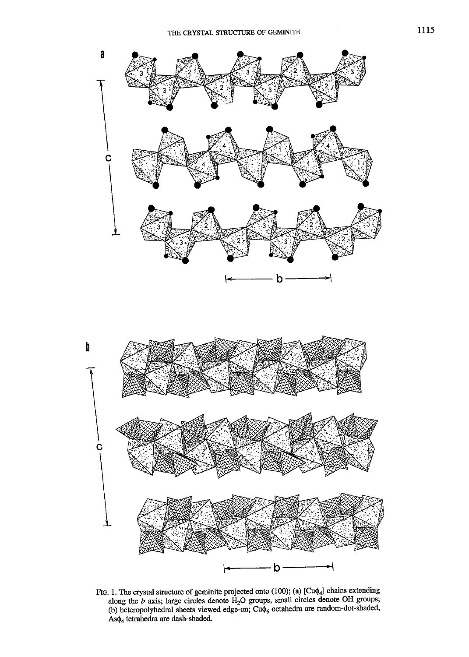

FIG. 1. The crystal structure of geminite projected onto (100); (a)  $[Cu\phi_4]$  chains extending along the  $b$  axis; large circles denote  $H_2O$  groups, small circles denote OH groups; (b) heteropolyhedral sheets viewed edge-on; Cu $\phi_6$  octahedra are random-dot-shaded,  $As\phi_4$  tetrahedra are dash-shaded.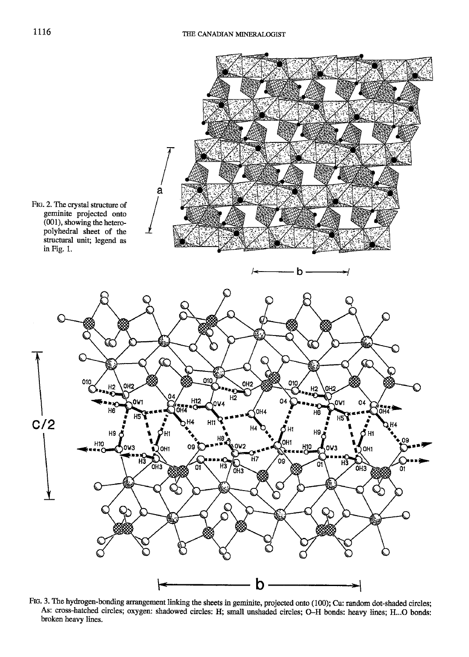

FtG. 3. The hydrogen-bonding arrangement linking the sheets in geminite, projected onto (100); Cu: random dot-shaded circles; As: cross-hatched circles; oxygen: shadowed circles: H; small unshaded circles: O-H bonds: heaw lines: H...O bonds: broken heavy lines.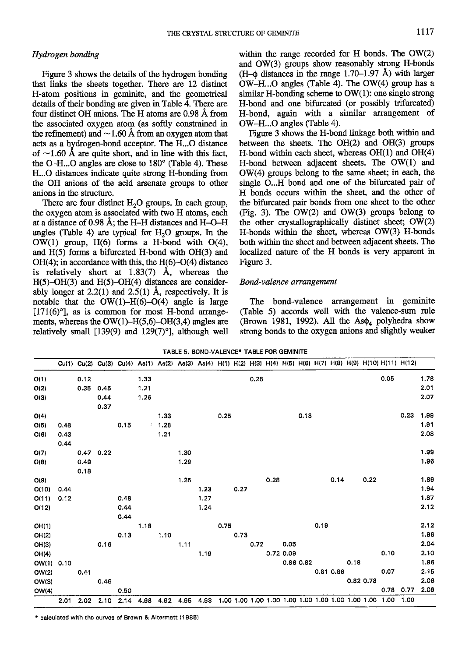### Hydrogen bonding

Figure 3 shows the details of the hydrogen bonding that links the sheets together. There are 12 distinct H-atom positions in geninite, and the geomefical details of their bonding are given in Table 4. There are four distinct OH anions. The H atoms are 0.98 A from the associated oxygen atom (as softly constrained in the refinement) and  $\sim$ 1.60 Å from an oxygen atom that acts as a hydrogen-bond acceptor. The H...O distance of  $\sim$ 1.60 Å are quite short, and in line with this fact, the O-H...O angles are close to  $180^\circ$  (Table 4). These H...O distances indicate quite strong H-bonding from the OH anions of the acid arsenate groups to other anions in the sfructure.

There are four distinct  $H_2O$  groups. In each group, the oxygen atom is associated with two H atoms, each at a distance of 0.98 A; the H-H distances and H-O-H angles (Table 4) are typical for  $H<sub>2</sub>O$  groups. In the OW(l) group, H(6) forms a H-bond with O(4), and H(5) forms a biturcated H-bond with OH(3) and  $OH(4)$ ; in accordance with this, the  $H(6)-O(4)$  distance is relatively short at  $1.83(7)$  Å, whereas the  $H(5)-OH(3)$  and  $H(5)-OH(4)$  distances are considerably longer at  $2.2(1)$  and  $2.5(1)$  Å, respectively. It is notable that the  $OW(1)$ -H(6)-O(4) angle is large  $[171(6)°]$ , as is common for most H-bond arrangements, whereas the  $OW(1)$ -H(5,6)-OH(3,4) angles are relatively small  $[139(9)$  and  $129(7)$ °, although well within the range recorded for H bonds. The OW(2) and OW(3) groups show reasonably strong H-bonds  $(H-\phi)$  distances in the range 1.70–1.97 Å) with larger OW-H...O angles (Table 4). The OW(4) group has a similar H-bonding scheme to  $OW(1)$ : one single strong H-bond and one bifurcated (or possibly trifurcated) H-bond, again with a similar arrangement of OW-H...O angles (fable 4).

Figure 3 shows the H-bond linkage both within and between the sheets. The OH(2) and OH(3) groups H-bond within each sheet, whereas  $OH(1)$  and  $OH(4)$ H-bond between adjacent sheets. The OW(l) and OW(4) groups belong to the same sheet; in each, the single O...H bond and one of the bifurcated pair of H bonds occurs within the sheet, and the other of the bifurcated pair bonds from one sheet to the other (Fig. 3). The  $OW(2)$  and  $OW(3)$  groups belong to the other crystallographically distinct sheet; OW(2) H-bonds within the sheet, whereas OW(3) H-bonds both within the sheet and between adjacent sheets. The localized nature of the H bonds is very apparent in Figure 3.

### Bond-valence arrangement

The bond-valence arrangement in geminite (Table 5) accords well with the valence-sum rule (Brown 1981, 1992). All the As $\phi_4$  polyhedra show strong bonds to the oxygen anions and slightly weaker

|            |      |      |      |      |      |      | Cu(1) Cu(2) Cu(3) Cu(4) As(1) As(2) As(3) As(4) H(1) H(2) H(3) H(4) H(5) H(6) H(7) H(8) H(9) H(10) H(11) H(12) |      |      |      |      |      |           |           |      |           |      |           |      |      |      |
|------------|------|------|------|------|------|------|----------------------------------------------------------------------------------------------------------------|------|------|------|------|------|-----------|-----------|------|-----------|------|-----------|------|------|------|
| O(1)       |      | 0.12 |      |      | 1.33 |      |                                                                                                                |      |      |      | 0.28 |      |           |           |      |           |      |           | 0.05 |      | 1.78 |
| O(2)       |      | 0.35 | 0.45 |      | 1.21 |      |                                                                                                                |      |      |      |      |      |           |           |      |           |      |           |      |      | 2.01 |
| O(3)       |      |      | 0.44 |      | 1.26 |      |                                                                                                                |      |      |      |      |      |           |           |      |           |      |           |      |      | 2.07 |
|            |      |      | 0.37 |      |      |      |                                                                                                                |      |      |      |      |      |           |           |      |           |      |           |      |      |      |
| O(4)       |      |      |      |      |      | 1.33 |                                                                                                                |      | 0.25 |      |      |      |           | 0.18      |      |           |      |           |      | 0.23 | 1.99 |
| O(5)       | 0,48 |      |      | 0.15 |      | 1.28 |                                                                                                                |      |      |      |      |      |           |           |      |           |      |           |      |      | 1.91 |
| O(6)       | 0.43 |      |      |      |      | 1.21 |                                                                                                                |      |      |      |      |      |           |           |      |           |      |           |      |      | 2.08 |
|            | 0.44 |      |      |      |      |      |                                                                                                                |      |      |      |      |      |           |           |      |           |      |           |      |      |      |
| O(7)       |      | 0.47 | 0.22 |      |      |      | 1.30                                                                                                           |      |      |      |      |      |           |           |      |           |      |           |      |      | 1.99 |
| O(8)       |      | 0.49 |      |      |      |      | 1.29                                                                                                           |      |      |      |      |      |           |           |      |           |      |           |      |      | 1.96 |
|            |      | 0.18 |      |      |      |      |                                                                                                                |      |      |      |      |      |           |           |      |           |      |           |      |      |      |
| O(9)       |      |      |      |      |      |      | 1.25                                                                                                           |      |      |      |      | 0.28 |           |           |      | 0.14      |      | 0.22      |      |      | 1.89 |
| O(10)      | 0.44 |      |      |      |      |      |                                                                                                                | 1.23 |      | 0.27 |      |      |           |           |      |           |      |           |      |      | 1.94 |
| O(11)      | 0.12 |      |      | 0.48 |      |      |                                                                                                                | 1.27 |      |      |      |      |           |           |      |           |      |           |      |      | 1.87 |
| O(12)      |      |      |      | 0.44 |      |      |                                                                                                                | 1.24 |      |      |      |      |           |           |      |           |      |           |      |      | 2.12 |
|            |      |      |      | 0.44 |      |      |                                                                                                                |      |      |      |      |      |           |           |      |           |      |           |      |      |      |
| OH(1)      |      |      |      |      | 1.18 |      |                                                                                                                |      | 0.75 |      |      |      |           |           | 0.19 |           |      |           |      |      | 2.12 |
| OH(2)      |      |      |      | 0.13 |      | 1.10 |                                                                                                                |      |      | 0.73 |      |      |           |           |      |           |      |           |      |      | 1.96 |
| OH(3)      |      |      | 0.16 |      |      |      | 1.11                                                                                                           |      |      |      | 0.72 |      | 0.05      |           |      |           |      |           |      |      | 2.04 |
| OH(4)      |      |      |      |      |      |      |                                                                                                                | 1.19 |      |      |      |      | 0.72 0.09 |           |      |           |      |           | 0.10 |      | 2.10 |
| OW(1) 0.10 |      |      |      |      |      |      |                                                                                                                |      |      |      |      |      |           | 0.86 0.82 |      |           | 0.18 |           |      |      | 1.96 |
| OW(2)      |      | 0.41 |      |      |      |      |                                                                                                                |      |      |      |      |      |           |           |      | 0.81 0.86 |      |           | 0.07 |      | 2.15 |
| OW(3)      |      |      | 0.46 |      |      |      |                                                                                                                |      |      |      |      |      |           |           |      |           |      | 0.82 0.78 |      |      | 2.06 |
| OW(4)      |      |      |      | 0.50 |      |      |                                                                                                                |      |      |      |      |      |           |           |      |           |      |           | 0.78 | 0.77 | 2.09 |
|            | 2.01 | 2.02 | 2.10 | 2.14 | 4.98 | 4.92 | 4.95                                                                                                           | 4.93 |      |      |      |      |           |           |      |           |      |           | 1.00 | 1.00 |      |

TABLE 5, BOND-VALENCE\* TABLE FOR GEMINITE

r calculated with the curues of Brown & Altermatt (1986)